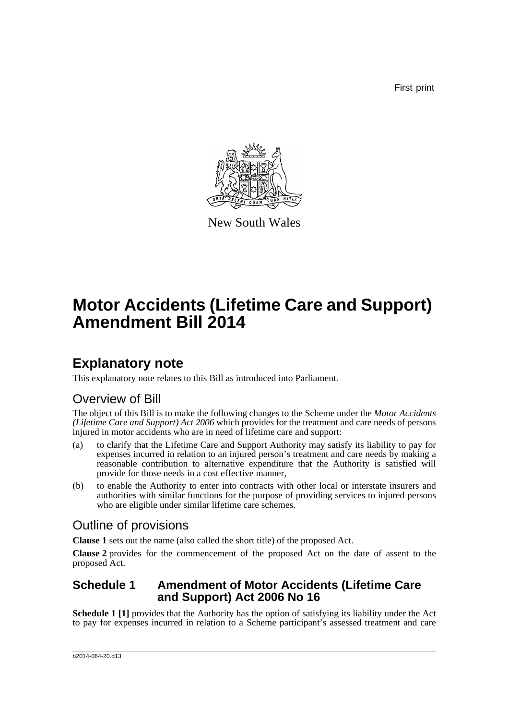First print



New South Wales

# **Motor Accidents (Lifetime Care and Support) Amendment Bill 2014**

## **Explanatory note**

This explanatory note relates to this Bill as introduced into Parliament.

### Overview of Bill

The object of this Bill is to make the following changes to the Scheme under the *Motor Accidents (Lifetime Care and Support) Act 2006* which provides for the treatment and care needs of persons injured in motor accidents who are in need of lifetime care and support:

- (a) to clarify that the Lifetime Care and Support Authority may satisfy its liability to pay for expenses incurred in relation to an injured person's treatment and care needs by making a reasonable contribution to alternative expenditure that the Authority is satisfied will provide for those needs in a cost effective manner,
- (b) to enable the Authority to enter into contracts with other local or interstate insurers and authorities with similar functions for the purpose of providing services to injured persons who are eligible under similar lifetime care schemes.

## Outline of provisions

**Clause 1** sets out the name (also called the short title) of the proposed Act.

**Clause 2** provides for the commencement of the proposed Act on the date of assent to the proposed Act.

### **Schedule 1 Amendment of Motor Accidents (Lifetime Care and Support) Act 2006 No 16**

**Schedule 1 [1]** provides that the Authority has the option of satisfying its liability under the Act to pay for expenses incurred in relation to a Scheme participant's assessed treatment and care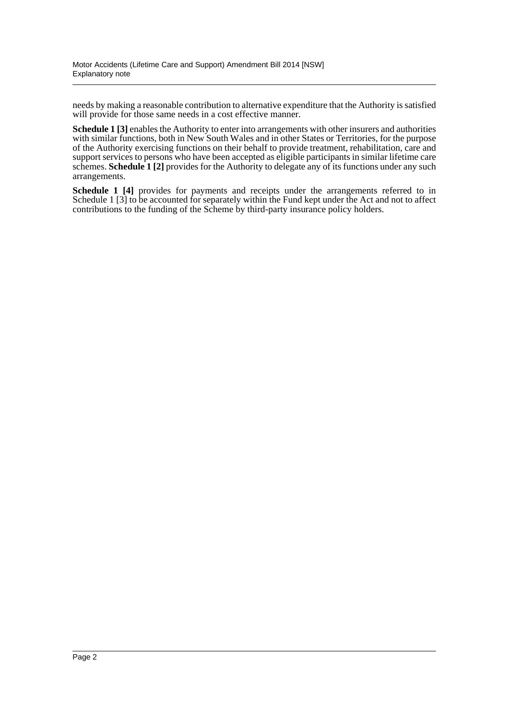needs by making a reasonable contribution to alternative expenditure that the Authority is satisfied will provide for those same needs in a cost effective manner.

**Schedule 1** [3] enables the Authority to enter into arrangements with other insurers and authorities with similar functions, both in New South Wales and in other States or Territories, for the purpose of the Authority exercising functions on their behalf to provide treatment, rehabilitation, care and support services to persons who have been accepted as eligible participants in similar lifetime care schemes. **Schedule 1** [2] provides for the Authority to delegate any of its functions under any such arrangements.

**Schedule 1 [4]** provides for payments and receipts under the arrangements referred to in Schedule 1 [3] to be accounted for separately within the Fund kept under the Act and not to affect contributions to the funding of the Scheme by third-party insurance policy holders.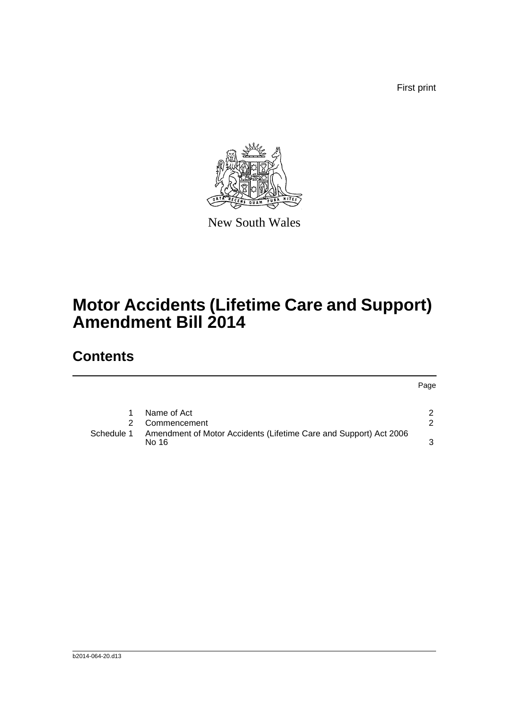First print

Page



New South Wales

## **Motor Accidents (Lifetime Care and Support) Amendment Bill 2014**

## **Contents**

[1 Name of Act](#page-4-0) 2 [2 Commencement](#page-4-1) 2 2 [Schedule 1 Amendment of Motor Accidents \(Lifetime Care and Support\) Act 2006](#page-5-0)  [No 16](#page-5-0)  $\sim$  3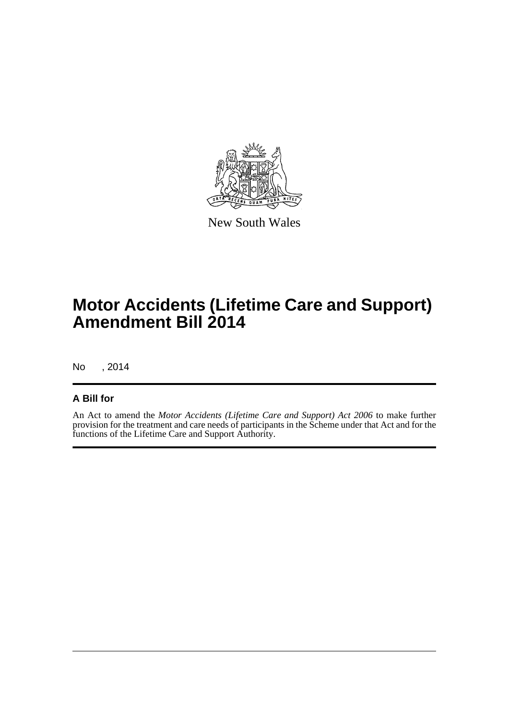

New South Wales

## **Motor Accidents (Lifetime Care and Support) Amendment Bill 2014**

No , 2014

#### **A Bill for**

An Act to amend the *Motor Accidents (Lifetime Care and Support) Act 2006* to make further provision for the treatment and care needs of participants in the Scheme under that Act and for the functions of the Lifetime Care and Support Authority.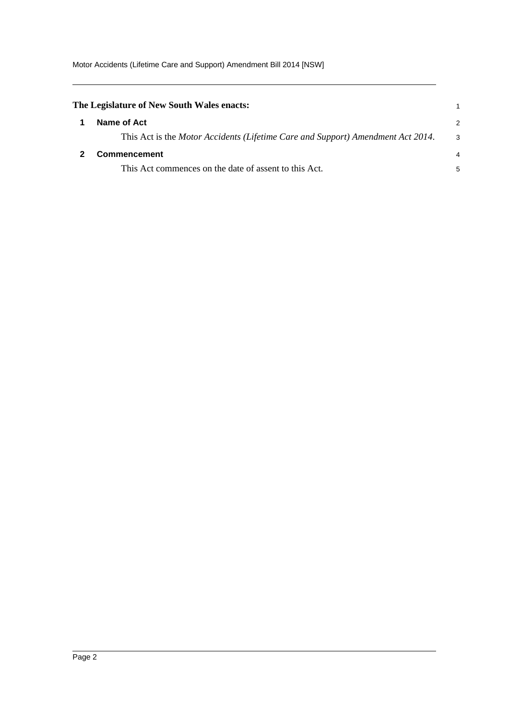<span id="page-4-1"></span><span id="page-4-0"></span>

| The Legislature of New South Wales enacts:                                      |    |
|---------------------------------------------------------------------------------|----|
| Name of Act                                                                     | 2  |
| This Act is the Motor Accidents (Lifetime Care and Support) Amendment Act 2014. | -3 |
| Commencement                                                                    | 4  |
| This Act commences on the date of assent to this Act.                           | 5  |
|                                                                                 |    |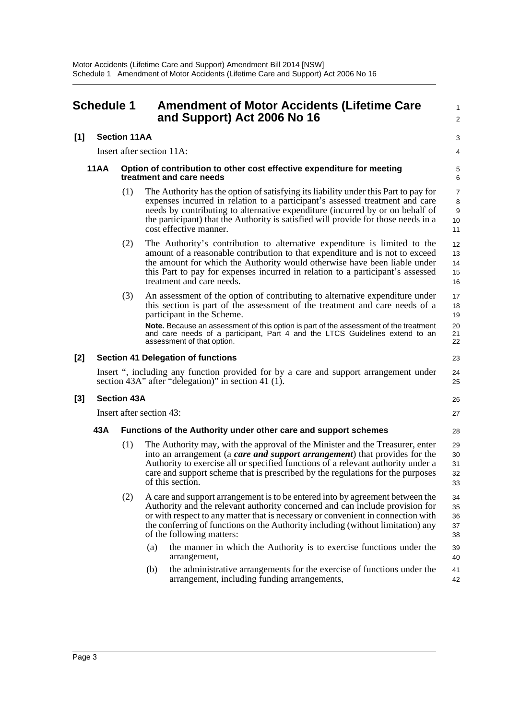<span id="page-5-0"></span>

| 3                                                                                                                                                                                                                                                                                                                                                                        |
|--------------------------------------------------------------------------------------------------------------------------------------------------------------------------------------------------------------------------------------------------------------------------------------------------------------------------------------------------------------------------|
|                                                                                                                                                                                                                                                                                                                                                                          |
| 4                                                                                                                                                                                                                                                                                                                                                                        |
| Option of contribution to other cost effective expenditure for meeting<br>5<br>6                                                                                                                                                                                                                                                                                         |
| The Authority has the option of satisfying its liability under this Part to pay for<br>7<br>expenses incurred in relation to a participant's assessed treatment and care<br>8<br>needs by contributing to alternative expenditure (incurred by or on behalf of<br>9<br>the participant) that the Authority is satisfied will provide for those needs in a<br>10<br>11    |
| The Authority's contribution to alternative expenditure is limited to the<br>12<br>amount of a reasonable contribution to that expenditure and is not to exceed<br>13<br>the amount for which the Authority would otherwise have been liable under<br>14<br>this Part to pay for expenses incurred in relation to a participant's assessed<br>15<br>16                   |
| An assessment of the option of contributing to alternative expenditure under<br>17<br>this section is part of the assessment of the treatment and care needs of a<br>18<br>19<br>Note. Because an assessment of this option is part of the assessment of the treatment<br>20<br>and care needs of a participant, Part 4 and the LTCS Guidelines extend to an<br>21<br>22 |
| 23                                                                                                                                                                                                                                                                                                                                                                       |
| Insert ", including any function provided for by a care and support arrangement under<br>24<br>section 43A" after "delegation)" in section 41 (1).<br>25                                                                                                                                                                                                                 |
| 26                                                                                                                                                                                                                                                                                                                                                                       |
| 27                                                                                                                                                                                                                                                                                                                                                                       |
| Functions of the Authority under other care and support schemes<br>28                                                                                                                                                                                                                                                                                                    |
| The Authority may, with the approval of the Minister and the Treasurer, enter<br>29<br>into an arrangement (a care and support arrangement) that provides for the<br>30<br>Authority to exercise all or specified functions of a relevant authority under a<br>31<br>care and support scheme that is prescribed by the regulations for the purposes<br>32<br>33          |
| A care and support arrangement is to be entered into by agreement between the<br>34<br>Authority and the relevant authority concerned and can include provision for<br>35<br>or with respect to any matter that is necessary or convenient in connection with<br>36<br>the conferring of functions on the Authority including (without limitation) any<br>37<br>38       |
| the manner in which the Authority is to exercise functions under the<br>39<br>40                                                                                                                                                                                                                                                                                         |
|                                                                                                                                                                                                                                                                                                                                                                          |
|                                                                                                                                                                                                                                                                                                                                                                          |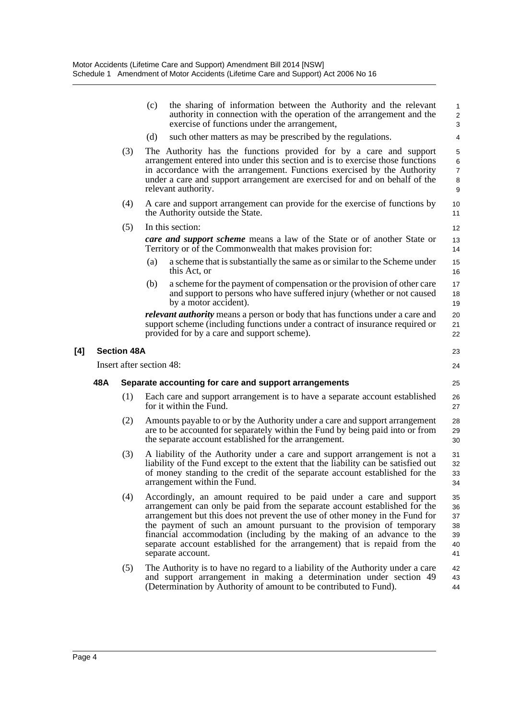|     |     |                    | (c)<br>the sharing of information between the Authority and the relevant<br>authority in connection with the operation of the arrangement and the<br>exercise of functions under the arrangement,<br>(d)<br>such other matters as may be prescribed by the regulations.                                                                                                                                                                                                              | $\mathbf{1}$<br>$\overline{\mathbf{c}}$<br>3<br>4 |
|-----|-----|--------------------|--------------------------------------------------------------------------------------------------------------------------------------------------------------------------------------------------------------------------------------------------------------------------------------------------------------------------------------------------------------------------------------------------------------------------------------------------------------------------------------|---------------------------------------------------|
|     |     |                    |                                                                                                                                                                                                                                                                                                                                                                                                                                                                                      |                                                   |
|     |     | (3)                | The Authority has the functions provided for by a care and support<br>arrangement entered into under this section and is to exercise those functions<br>in accordance with the arrangement. Functions exercised by the Authority<br>under a care and support arrangement are exercised for and on behalf of the<br>relevant authority.                                                                                                                                               | 5<br>6<br>$\boldsymbol{7}$<br>8<br>9              |
|     |     | (4)                | A care and support arrangement can provide for the exercise of functions by<br>the Authority outside the State.                                                                                                                                                                                                                                                                                                                                                                      | 10<br>11                                          |
|     |     | (5)                | In this section:                                                                                                                                                                                                                                                                                                                                                                                                                                                                     | 12                                                |
|     |     |                    | <b>care and support scheme</b> means a law of the State or of another State or<br>Territory or of the Commonwealth that makes provision for:                                                                                                                                                                                                                                                                                                                                         | 13<br>14                                          |
|     |     |                    | (a)<br>a scheme that is substantially the same as or similar to the Scheme under<br>this Act, or                                                                                                                                                                                                                                                                                                                                                                                     | 15<br>16                                          |
|     |     |                    | (b)<br>a scheme for the payment of compensation or the provision of other care<br>and support to persons who have suffered injury (whether or not caused<br>by a motor accident).                                                                                                                                                                                                                                                                                                    | 17<br>18<br>19                                    |
|     |     |                    | <i>relevant authority</i> means a person or body that has functions under a care and<br>support scheme (including functions under a contract of insurance required or<br>provided for by a care and support scheme).                                                                                                                                                                                                                                                                 | $20\,$<br>21<br>22                                |
| [4] |     | <b>Section 48A</b> |                                                                                                                                                                                                                                                                                                                                                                                                                                                                                      | 23                                                |
|     |     |                    | Insert after section 48:                                                                                                                                                                                                                                                                                                                                                                                                                                                             | 24                                                |
|     | 48A |                    | Separate accounting for care and support arrangements                                                                                                                                                                                                                                                                                                                                                                                                                                | 25                                                |
|     |     | (1)                | Each care and support arrangement is to have a separate account established<br>for it within the Fund.                                                                                                                                                                                                                                                                                                                                                                               | 26<br>27                                          |
|     |     | (2)                | Amounts payable to or by the Authority under a care and support arrangement<br>are to be accounted for separately within the Fund by being paid into or from<br>the separate account established for the arrangement.                                                                                                                                                                                                                                                                | 28<br>29<br>30                                    |
|     |     | (3)                | A liability of the Authority under a care and support arrangement is not a<br>liability of the Fund except to the extent that the liability can be satisfied out<br>of money standing to the credit of the separate account established for the<br>arrangement within the Fund.                                                                                                                                                                                                      | 31<br>32<br>33<br>34                              |
|     |     | (4)                | Accordingly, an amount required to be paid under a care and support<br>arrangement can only be paid from the separate account established for the<br>arrangement but this does not prevent the use of other money in the Fund for<br>the payment of such an amount pursuant to the provision of temporary<br>financial accommodation (including by the making of an advance to the<br>separate account established for the arrangement) that is repaid from the<br>separate account. | 35<br>36<br>37<br>38<br>39<br>40<br>41            |
|     |     | (5)                | The Authority is to have no regard to a liability of the Authority under a care<br>and support arrangement in making a determination under section 49<br>(Determination by Authority of amount to be contributed to Fund).                                                                                                                                                                                                                                                           | 42<br>43<br>44                                    |